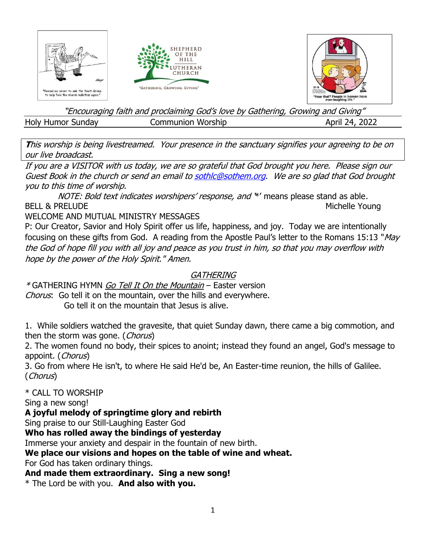

"Encouraging faith and proclaiming God's love by Gathering, Growing and Giving" Holy Humor Sunday **Communion Worship April 24, 2022** 

**T**his worship is being livestreamed. Your presence in the sanctuary signifies your agreeing to be on our live broadcast.

If you are a VISITOR with us today, we are so grateful that God brought you here. Please sign our Guest Book in the church or send an email t[o sothlc@sothem.org.](mailto:sothlc@sothem.org) We are so glad that God brought you to this time of worship.

NOTE: Bold text indicates worshipers' response, and \*' means please stand as able. BELL & PRELUDE Michelle Young

WELCOME AND MUTUAL MINISTRY MESSAGES

P: Our Creator, Savior and Holy Spirit offer us life, happiness, and joy. Today we are intentionally focusing on these gifts from God. A reading from the Apostle Paul's letter to the Romans 15:13 "May the God of hope fill you with all joy and peace as you trust in him, so that you may overflow with hope by the power of the Holy Spirit." Amen.

# **GATHERING**

\*GATHERING HYMN *Go Tell It On the Mountain* – Easter version Chorus: Go tell it on the mountain, over the hills and everywhere.

Go tell it on the mountain that Jesus is alive.

1. While soldiers watched the gravesite, that quiet Sunday dawn, there came a big commotion, and then the storm was gone. (Chorus)

2. The women found no body, their spices to anoint; instead they found an angel, God's message to appoint. (Chorus)

3. Go from where He isn't, to where He said He'd be, An Easter-time reunion, the hills of Galilee. (Chorus)

\* CALL TO WORSHIP

Sing a new song!

**A joyful melody of springtime glory and rebirth**

Sing praise to our Still-Laughing Easter God

**Who has rolled away the bindings of yesterday**

Immerse your anxiety and despair in the fountain of new birth.

# **We place our visions and hopes on the table of wine and wheat.**

For God has taken ordinary things.

**And made them extraordinary. Sing a new song!**

\* The Lord be with you. **And also with you.**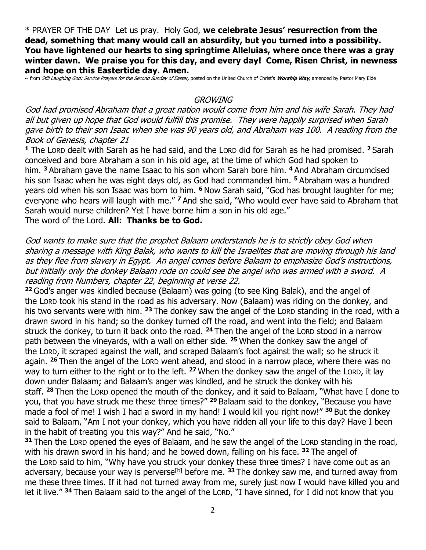\* PRAYER OF THE DAY Let us pray. Holy God, **we celebrate Jesus' resurrection from the dead, something that many would call an absurdity, but you turned into a possibility. You have lightened our hearts to sing springtime Alleluias, where once there was a gray winter dawn. We praise you for this day, and every day! Come, Risen Christ, in newness and hope on this Eastertide day. Amen.**

~ from Still Laughing God: Service Prayers for the Second Sunday of Easter, posted on the United Church of Christ's **Worship Way,** amended by Pastor Mary Eide

### **GROWING**

God had promised Abraham that a great nation would come from him and his wife Sarah. They had all but given up hope that God would fulfill this promise. They were happily surprised when Sarah gave birth to their son Isaac when she was 90 years old, and Abraham was 100. A reading from the Book of Genesis, chapter 21

**<sup>1</sup>** The LORD dealt with Sarah as he had said, and the LORD did for Sarah as he had promised. **<sup>2</sup>** Sarah conceived and bore Abraham a son in his old age, at the time of which God had spoken to him. **<sup>3</sup>** Abraham gave the name Isaac to his son whom Sarah bore him. **<sup>4</sup>** And Abraham circumcised his son Isaac when he was eight days old, as God had commanded him. **<sup>5</sup>** Abraham was a hundred years old when his son Isaac was born to him. **<sup>6</sup>** Now Sarah said, "God has brought laughter for me; everyone who hears will laugh with me." **<sup>7</sup>** And she said, "Who would ever have said to Abraham that Sarah would nurse children? Yet I have borne him a son in his old age."

The word of the Lord. **All: Thanks be to God.**

God wants to make sure that the prophet Balaam understands he is to strictly obey God when sharing a message with King Balak, who wants to kill the Israelites that are moving through his land as they flee from slavery in Egypt. An angel comes before Balaam to emphasize God's instructions, but initially only the donkey Balaam rode on could see the angel who was armed with a sword. A reading from Numbers, chapter 22, beginning at verse 22.

**<sup>22</sup>** God's anger was kindled because (Balaam) was going (to see King Balak), and the angel of the LORD took his stand in the road as his adversary. Now (Balaam) was riding on the donkey, and his two servants were with him. **<sup>23</sup>** The donkey saw the angel of the LORD standing in the road, with a drawn sword in his hand; so the donkey turned off the road, and went into the field; and Balaam struck the donkey, to turn it back onto the road. **<sup>24</sup>** Then the angel of the LORD stood in a narrow path between the vineyards, with a wall on either side. **<sup>25</sup>** When the donkey saw the angel of the LORD, it scraped against the wall, and scraped Balaam's foot against the wall; so he struck it again. **<sup>26</sup>** Then the angel of the LORD went ahead, and stood in a narrow place, where there was no way to turn either to the right or to the left. **<sup>27</sup>** When the donkey saw the angel of the LORD, it lay down under Balaam; and Balaam's anger was kindled, and he struck the donkey with his staff. **<sup>28</sup>** Then the LORD opened the mouth of the donkey, and it said to Balaam, "What have I done to you, that you have struck me these three times?" **<sup>29</sup>** Balaam said to the donkey, "Because you have made a fool of me! I wish I had a sword in my hand! I would kill you right now!" **<sup>30</sup>** But the donkey said to Balaam, "Am I not your donkey, which you have ridden all your life to this day? Have I been in the habit of treating you this way?" And he said, "No."

**<sup>31</sup>** Then the LORD opened the eyes of Balaam, and he saw the angel of the LORD standing in the road, with his drawn sword in his hand; and he bowed down, falling on his face. **<sup>32</sup>** The angel of the LORD said to him, "Why have you struck your donkey these three times? I have come out as an adversary, because your way is perverse<sup>[\[b\]](https://www.biblegateway.com/passage/?search=Numbers%2022&version=NRSV#fen-NRSV-4408b)</sup> before me. <sup>33</sup> The donkey saw me, and turned away from me these three times. If it had not turned away from me, surely just now I would have killed you and let it live." **<sup>34</sup>** Then Balaam said to the angel of the LORD, "I have sinned, for I did not know that you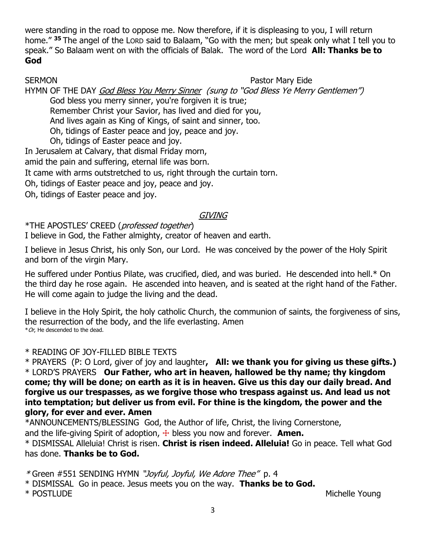were standing in the road to oppose me. Now therefore, if it is displeasing to you, I will return home." **<sup>35</sup>** The angel of the LORD said to Balaam, "Go with the men; but speak only what I tell you to speak." So Balaam went on with the officials of Balak. The word of the Lord **All: Thanks be to God**

#### SERMON **Pastor Mary Eide**

HYMN OF THE DAY God Bless You Merry Sinner (sung to "God Bless Ye Merry Gentlemen") God bless you merry sinner, you're forgiven it is true; Remember Christ your Savior, has lived and died for you,

And lives again as King of Kings, of saint and sinner, too.

Oh, tidings of Easter peace and joy, peace and joy.

Oh, tidings of Easter peace and joy.

In Jerusalem at Calvary, that dismal Friday morn,

amid the pain and suffering, eternal life was born.

It came with arms outstretched to us, right through the curtain torn.

Oh, tidings of Easter peace and joy, peace and joy.

Oh, tidings of Easter peace and joy.

## **GIVING**

\*THE APOSTLES' CREED (professed together)

I believe in God, the Father almighty, creator of heaven and earth.

I believe in Jesus Christ, his only Son, our Lord. He was conceived by the power of the Holy Spirit and born of the virgin Mary.

He suffered under Pontius Pilate, was crucified, died, and was buried. He descended into hell.\* On the third day he rose again. He ascended into heaven, and is seated at the right hand of the Father. He will come again to judge the living and the dead.

I believe in the Holy Spirit, the holy catholic Church, the communion of saints, the forgiveness of sins, the resurrection of the body, and the life everlasting. Amen  $*$  Or, He descended to the dead.

# \* READING OF JOY-FILLED BIBLE TEXTS

\* PRAYERS (P: O Lord, giver of joy and laughter**, All: we thank you for giving us these gifts.)** \* LORD'S PRAYERS **Our Father, who art in heaven, hallowed be thy name; thy kingdom come; thy will be done; on earth as it is in heaven. Give us this day our daily bread. And forgive us our trespasses, as we forgive those who trespass against us. And lead us not into temptation; but deliver us from evil. For thine is the kingdom, the power and the glory, for ever and ever. Amen**

\*ANNOUNCEMENTS/BLESSING God, the Author of life, Christ, the living Cornerstone, and the life-giving Spirit of adoption,  $\pm$  bless you now and forever. **Amen.** 

\* DISMISSAL Alleluia! Christ is risen. **Christ is risen indeed. Alleluia!** Go in peace. Tell what God has done. **Thanks be to God.**

\* Green #551 SENDING HYMN "Joyful, Joyful, We Adore Thee" p. 4

\* DISMISSAL Go in peace. Jesus meets you on the way. **Thanks be to God.**

\* POSTLUDE Michelle Young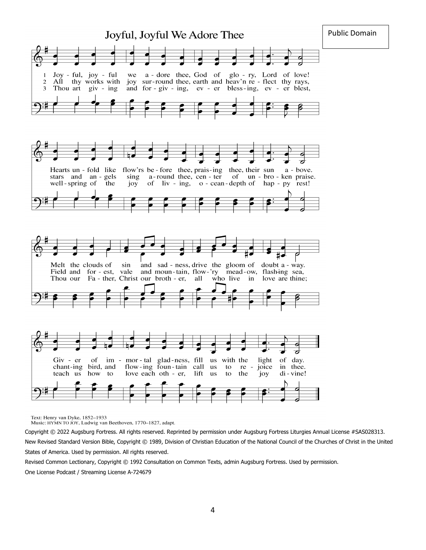

Text: Henry van Dyke, 1852-1933

Music: HYMN TO JOY, Ludwig van Beethoven, 1770-1827, adapt.

Copyright © 2022 Augsburg Fortress. All rights reserved. Reprinted by permission under Augsburg Fortress Liturgies Annual License #SAS028313. New Revised Standard Version Bible, Copyright © 1989, Division of Christian Education of the National Council of the Churches of Christ in the United States of America. Used by permission. All rights reserved.

Revised Common Lectionary, Copyright © 1992 Consultation on Common Texts, admin Augsburg Fortress. Used by permission.

One License Podcast / Streaming License A-724679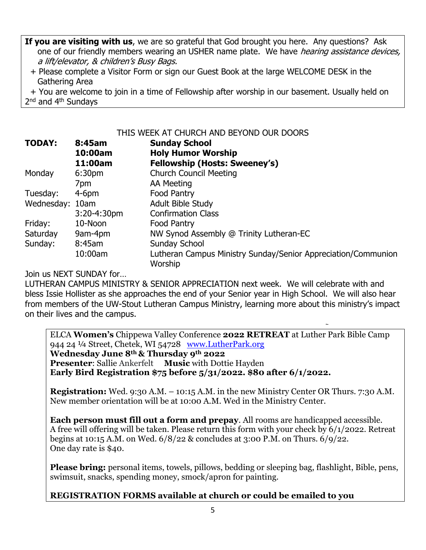**If you are visiting with us**, we are so grateful that God brought you here. Any questions? Ask one of our friendly members wearing an USHER name plate. We have *hearing assistance devices*, a lift/elevator, & children's Busy Bags.

 + Please complete a Visitor Form or sign our Guest Book at the large WELCOME DESK in the Gathering Area

 + You are welcome to join in a time of Fellowship after worship in our basement. Usually held on 2<sup>nd</sup> and 4<sup>th</sup> Sundays

THIS WEEK AT CHURCH AND BEYOND OUR DOORS

| <b>TODAY:</b>   | 8:45am<br>10:00am | <b>Sunday School</b><br><b>Holy Humor Worship</b>                        |
|-----------------|-------------------|--------------------------------------------------------------------------|
|                 | 11:00am           | <b>Fellowship (Hosts: Sweeney's)</b>                                     |
| Monday          | 6:30pm            | <b>Church Council Meeting</b>                                            |
|                 | 7pm               | AA Meeting                                                               |
| Tuesday:        | $4-6pm$           | <b>Food Pantry</b>                                                       |
| Wednesday: 10am |                   | <b>Adult Bible Study</b>                                                 |
|                 | $3:20 - 4:30$ pm  | <b>Confirmation Class</b>                                                |
| Friday:         | 10-Noon           | Food Pantry                                                              |
| Saturday        | 9am-4pm           | NW Synod Assembly @ Trinity Lutheran-EC                                  |
| Sunday:         | 8:45am            | <b>Sunday School</b>                                                     |
|                 | 10:00am           | Lutheran Campus Ministry Sunday/Senior Appreciation/Communion<br>Worship |

Join us NEXT SUNDAY for…

LUTHERAN CAMPUS MINISTRY & SENIOR APPRECIATION next week. We will celebrate with and bless Issie Hollister as she approaches the end of your Senior year in High School. We will also hear from members of the UW-Stout Lutheran Campus Ministry, learning more about this ministry's impact on their lives and the campus.

ELCA **Women's** Chippewa Valley Conference **2022 RETREAT** at Luther Park Bible Camp 944 24 ¼ Street, Chetek, WI 54728 [www.LutherPark.org](http://www.lutherpark.org/) **Wednesday June 8th & Thursday 9th 2022 Presenter:** Sallie Ankerfelt Music with Dottie Hayden **Early Bird Registration \$75 before 5/31/2022. \$80 after 6/1/2022.**

**Registration:** Wed. 9:30 A.M. – 10:15 A.M. in the new Ministry Center OR Thurs. 7:30 A.M. New member orientation will be at 10:00 A.M. Wed in the Ministry Center.

**Each person must fill out a form and prepay**. All rooms are handicapped accessible. A free will offering will be taken. Please return this form with your check by 6/1/2022. Retreat begins at 10:15 A.M. on Wed. 6/8/22 & concludes at 3:00 P.M. on Thurs. 6/9/22. One day rate is \$40.

**Please bring:** personal items, towels, pillows, bedding or sleeping bag, flashlight, Bible, pens, swimsuit, snacks, spending money, smock/apron for painting.

**REGISTRATION FORMS available at church or could be emailed to you**